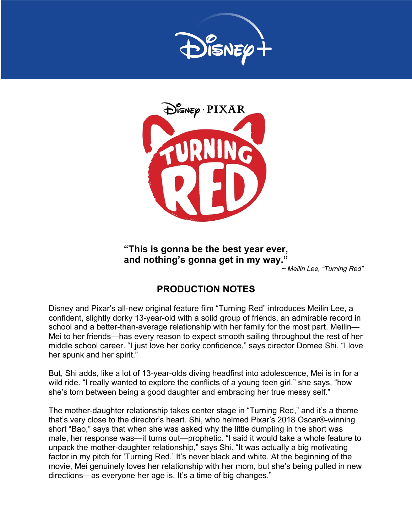



# **"This is gonna be the best year ever, and nothing's gonna get in my way."**

*~ Meilin Lee, "Turning Red"*

# **PRODUCTION NOTES**

Disney and Pixar's all-new original feature film "Turning Red" introduces Meilin Lee, a confident, slightly dorky 13-year-old with a solid group of friends, an admirable record in school and a better-than-average relationship with her family for the most part. Meilin— Mei to her friends—has every reason to expect smooth sailing throughout the rest of her middle school career. "I just love her dorky confidence," says director Domee Shi. "I love her spunk and her spirit."

But, Shi adds, like a lot of 13-year-olds diving headfirst into adolescence, Mei is in for a wild ride. "I really wanted to explore the conflicts of a young teen girl," she says, "how she's torn between being a good daughter and embracing her true messy self."

The mother-daughter relationship takes center stage in "Turning Red," and it's a theme that's very close to the director's heart. Shi, who helmed Pixar's 2018 Oscar®-winning short "Bao," says that when she was asked why the little dumpling in the short was male, her response was—it turns out—prophetic. "I said it would take a whole feature to unpack the mother-daughter relationship," says Shi. "It was actually a big motivating factor in my pitch for 'Turning Red.' It's never black and white. At the beginning of the movie, Mei genuinely loves her relationship with her mom, but she's being pulled in new directions—as everyone her age is. It's a time of big changes."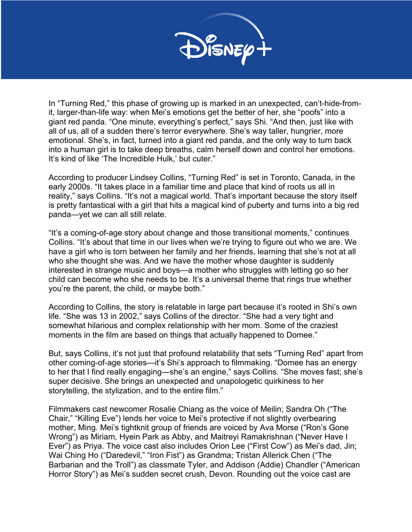

In "Turning Red," this phase of growing up is marked in an unexpected, can't-hide-fromit, larger-than-life way: when Mei's emotions get the better of her, she "poofs" into a giant red panda. "One minute, everything's perfect," says Shi. "And then, just like with all of us, all of a sudden there's terror everywhere. She's way taller, hungrier, more emotional. She's, in fact, turned into a giant red panda, and the only way to turn back into a human girl is to take deep breaths, calm herself down and control her emotions. It's kind of like 'The Incredible Hulk,' but cuter."

According to producer Lindsey Collins, "Turning Red" is set in Toronto, Canada, in the early 2000s. "It takes place in a familiar time and place that kind of roots us all in reality," says Collins. "It's not a magical world. That's important because the story itself is pretty fantastical with a girl that hits a magical kind of puberty and turns into a big red panda—yet we can all still relate.

"It's a coming-of-age story about change and those transitional moments," continues Collins. "It's about that time in our lives when we're trying to figure out who we are. We have a girl who is torn between her family and her friends, learning that she's not at all who she thought she was. And we have the mother whose daughter is suddenly interested in strange music and boys—a mother who struggles with letting go so her child can become who she needs to be. It's a universal theme that rings true whether you're the parent, the child, or maybe both."

According to Collins, the story is relatable in large part because it's rooted in Shi's own life. "She was 13 in 2002," says Collins of the director. "She had a very tight and somewhat hilarious and complex relationship with her mom. Some of the craziest moments in the film are based on things that actually happened to Domee."

But, says Collins, it's not just that profound relatability that sets "Turning Red" apart from other coming-of-age stories—it's Shi's approach to filmmaking. "Domee has an energy to her that I find really engaging—she's an engine," says Collins. "She moves fast; she's super decisive. She brings an unexpected and unapologetic quirkiness to her storytelling, the stylization, and to the entire film."

Filmmakers cast newcomer Rosalie Chiang as the voice of Meilin; Sandra Oh ("The Chair," "Killing Eve") lends her voice to Mei's protective if not slightly overbearing mother, Ming. Mei's tightknit group of friends are voiced by Ava Morse ("Ron's Gone Wrong") as Miriam, Hyein Park as Abby, and Maitreyi Ramakrishnan ("Never Have I Ever") as Priya. The voice cast also includes Orion Lee ("First Cow") as Mei's dad, Jin; Wai Ching Ho ("Daredevil," "Iron Fist") as Grandma; Tristan Allerick Chen ("The Barbarian and the Troll") as classmate Tyler, and Addison (Addie) Chandler ("American Horror Story") as Mei's sudden secret crush, Devon. Rounding out the voice cast are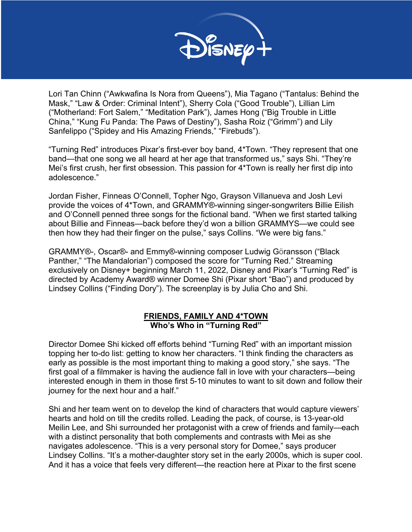

Lori Tan Chinn ("Awkwafina Is Nora from Queens"), Mia Tagano ("Tantalus: Behind the Mask," "Law & Order: Criminal Intent"), Sherry Cola ("Good Trouble"), Lillian Lim ("Motherland: Fort Salem," "Meditation Park"), James Hong ("Big Trouble in Little China," "Kung Fu Panda: The Paws of Destiny"), Sasha Roiz ("Grimm") and Lily Sanfelippo ("Spidey and His Amazing Friends," "Firebuds").

"Turning Red" introduces Pixar's first-ever boy band, 4\*Town. "They represent that one band—that one song we all heard at her age that transformed us," says Shi. "They're Mei's first crush, her first obsession. This passion for 4\*Town is really her first dip into adolescence."

Jordan Fisher, Finneas O'Connell, Topher Ngo, Grayson Villanueva and Josh Levi provide the voices of 4\*Town, and GRAMMY®-winning singer-songwriters Billie Eilish and O'Connell penned three songs for the fictional band. "When we first started talking about Billie and Finneas—back before they'd won a billion GRAMMYS—we could see then how they had their finger on the pulse," says Collins. "We were big fans."

GRAMMY®-, Oscar®- and Emmy®-winning composer Ludwig Göransson ("Black Panther," "The Mandalorian") composed the score for "Turning Red." Streaming exclusively on Disney+ beginning March 11, 2022, Disney and Pixar's "Turning Red" is directed by Academy Award® winner Domee Shi (Pixar short "Bao") and produced by Lindsey Collins ("Finding Dory"). The screenplay is by Julia Cho and Shi.

## **FRIENDS, FAMILY AND 4\*TOWN Who's Who in "Turning Red"**

Director Domee Shi kicked off efforts behind "Turning Red" with an important mission topping her to-do list: getting to know her characters. "I think finding the characters as early as possible is the most important thing to making a good story," she says. "The first goal of a filmmaker is having the audience fall in love with your characters—being interested enough in them in those first 5-10 minutes to want to sit down and follow their journey for the next hour and a half."

Shi and her team went on to develop the kind of characters that would capture viewers' hearts and hold on till the credits rolled. Leading the pack, of course, is 13-year-old Meilin Lee, and Shi surrounded her protagonist with a crew of friends and family—each with a distinct personality that both complements and contrasts with Mei as she navigates adolescence. "This is a very personal story for Domee," says producer Lindsey Collins. "It's a mother-daughter story set in the early 2000s, which is super cool. And it has a voice that feels very different—the reaction here at Pixar to the first scene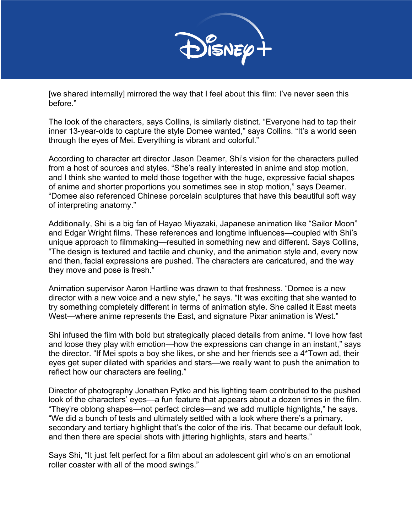

[we shared internally] mirrored the way that I feel about this film: I've never seen this before."

The look of the characters, says Collins, is similarly distinct. "Everyone had to tap their inner 13-year-olds to capture the style Domee wanted," says Collins. "It's a world seen through the eyes of Mei. Everything is vibrant and colorful."

According to character art director Jason Deamer, Shi's vision for the characters pulled from a host of sources and styles. "She's really interested in anime and stop motion, and I think she wanted to meld those together with the huge, expressive facial shapes of anime and shorter proportions you sometimes see in stop motion," says Deamer. "Domee also referenced Chinese porcelain sculptures that have this beautiful soft way of interpreting anatomy."

Additionally, Shi is a big fan of Hayao Miyazaki, Japanese animation like "Sailor Moon" and Edgar Wright films. These references and longtime influences—coupled with Shi's unique approach to filmmaking—resulted in something new and different. Says Collins, "The design is textured and tactile and chunky, and the animation style and, every now and then, facial expressions are pushed. The characters are caricatured, and the way they move and pose is fresh."

Animation supervisor Aaron Hartline was drawn to that freshness. "Domee is a new director with a new voice and a new style," he says. "It was exciting that she wanted to try something completely different in terms of animation style. She called it East meets West—where anime represents the East, and signature Pixar animation is West."

Shi infused the film with bold but strategically placed details from anime. "I love how fast and loose they play with emotion—how the expressions can change in an instant," says the director. "If Mei spots a boy she likes, or she and her friends see a 4\*Town ad, their eyes get super dilated with sparkles and stars—we really want to push the animation to reflect how our characters are feeling."

Director of photography Jonathan Pytko and his lighting team contributed to the pushed look of the characters' eyes—a fun feature that appears about a dozen times in the film. "They're oblong shapes—not perfect circles—and we add multiple highlights," he says. "We did a bunch of tests and ultimately settled with a look where there's a primary, secondary and tertiary highlight that's the color of the iris. That became our default look, and then there are special shots with jittering highlights, stars and hearts."

Says Shi, "It just felt perfect for a film about an adolescent girl who's on an emotional roller coaster with all of the mood swings."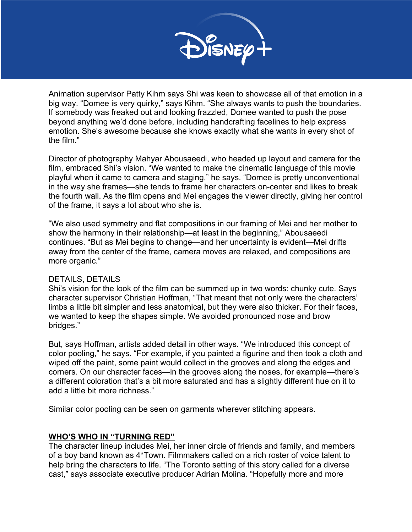

Animation supervisor Patty Kihm says Shi was keen to showcase all of that emotion in a big way. "Domee is very quirky," says Kihm. "She always wants to push the boundaries. If somebody was freaked out and looking frazzled, Domee wanted to push the pose beyond anything we'd done before, including handcrafting facelines to help express emotion. She's awesome because she knows exactly what she wants in every shot of the film."

Director of photography Mahyar Abousaeedi, who headed up layout and camera for the film, embraced Shi's vision. "We wanted to make the cinematic language of this movie playful when it came to camera and staging," he says. "Domee is pretty unconventional in the way she frames—she tends to frame her characters on-center and likes to break the fourth wall. As the film opens and Mei engages the viewer directly, giving her control of the frame, it says a lot about who she is.

"We also used symmetry and flat compositions in our framing of Mei and her mother to show the harmony in their relationship—at least in the beginning," Abousaeedi continues. "But as Mei begins to change—and her uncertainty is evident—Mei drifts away from the center of the frame, camera moves are relaxed, and compositions are more organic."

#### DETAILS, DETAILS

Shi's vision for the look of the film can be summed up in two words: chunky cute. Says character supervisor Christian Hoffman, "That meant that not only were the characters' limbs a little bit simpler and less anatomical, but they were also thicker. For their faces, we wanted to keep the shapes simple. We avoided pronounced nose and brow bridges."

But, says Hoffman, artists added detail in other ways. "We introduced this concept of color pooling," he says. "For example, if you painted a figurine and then took a cloth and wiped off the paint, some paint would collect in the grooves and along the edges and corners. On our character faces—in the grooves along the noses, for example—there's a different coloration that's a bit more saturated and has a slightly different hue on it to add a little bit more richness."

Similar color pooling can be seen on garments wherever stitching appears.

## **WHO'S WHO IN "TURNING RED"**

The character lineup includes Mei, her inner circle of friends and family, and members of a boy band known as 4\*Town. Filmmakers called on a rich roster of voice talent to help bring the characters to life. "The Toronto setting of this story called for a diverse cast," says associate executive producer Adrian Molina. "Hopefully more and more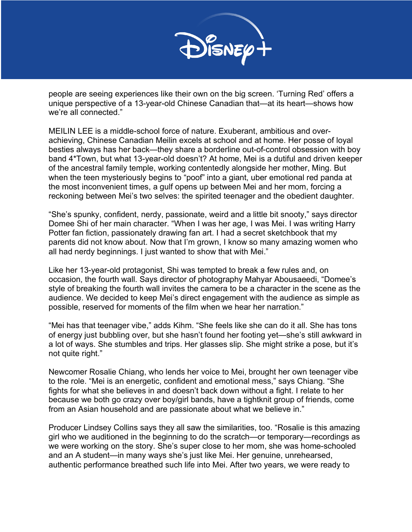

people are seeing experiences like their own on the big screen. 'Turning Red' offers a unique perspective of a 13-year-old Chinese Canadian that—at its heart—shows how we're all connected."

MEILIN LEE is a middle-school force of nature. Exuberant, ambitious and overachieving, Chinese Canadian Meilin excels at school and at home. Her posse of loyal besties always has her back—they share a borderline out-of-control obsession with boy band 4\*Town, but what 13-year-old doesn't? At home, Mei is a dutiful and driven keeper of the ancestral family temple, working contentedly alongside her mother, Ming. But when the teen mysteriously begins to "poof" into a giant, uber emotional red panda at the most inconvenient times, a gulf opens up between Mei and her mom, forcing a reckoning between Mei's two selves: the spirited teenager and the obedient daughter.

"She's spunky, confident, nerdy, passionate, weird and a little bit snooty," says director Domee Shi of her main character. "When I was her age, I was Mei. I was writing Harry Potter fan fiction, passionately drawing fan art. I had a secret sketchbook that my parents did not know about. Now that I'm grown, I know so many amazing women who all had nerdy beginnings. I just wanted to show that with Mei."

Like her 13-year-old protagonist, Shi was tempted to break a few rules and, on occasion, the fourth wall. Says director of photography Mahyar Abousaeedi, "Domee's style of breaking the fourth wall invites the camera to be a character in the scene as the audience. We decided to keep Mei's direct engagement with the audience as simple as possible, reserved for moments of the film when we hear her narration."

"Mei has that teenager vibe," adds Kihm. "She feels like she can do it all. She has tons of energy just bubbling over, but she hasn't found her footing yet—she's still awkward in a lot of ways. She stumbles and trips. Her glasses slip. She might strike a pose, but it's not quite right."

Newcomer Rosalie Chiang, who lends her voice to Mei, brought her own teenager vibe to the role. "Mei is an energetic, confident and emotional mess," says Chiang. "She fights for what she believes in and doesn't back down without a fight. I relate to her because we both go crazy over boy/girl bands, have a tightknit group of friends, come from an Asian household and are passionate about what we believe in."

Producer Lindsey Collins says they all saw the similarities, too. "Rosalie is this amazing girl who we auditioned in the beginning to do the scratch—or temporary—recordings as we were working on the story. She's super close to her mom, she was home-schooled and an A student—in many ways she's just like Mei. Her genuine, unrehearsed, authentic performance breathed such life into Mei. After two years, we were ready to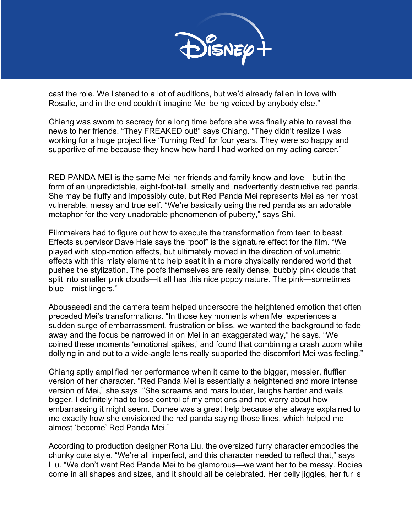

cast the role. We listened to a lot of auditions, but we'd already fallen in love with Rosalie, and in the end couldn't imagine Mei being voiced by anybody else."

Chiang was sworn to secrecy for a long time before she was finally able to reveal the news to her friends. "They FREAKED out!" says Chiang. "They didn't realize I was working for a huge project like 'Turning Red' for four years. They were so happy and supportive of me because they knew how hard I had worked on my acting career."

RED PANDA MEI is the same Mei her friends and family know and love—but in the form of an unpredictable, eight-foot-tall, smelly and inadvertently destructive red panda. She may be fluffy and impossibly cute, but Red Panda Mei represents Mei as her most vulnerable, messy and true self. "We're basically using the red panda as an adorable metaphor for the very unadorable phenomenon of puberty," says Shi.

Filmmakers had to figure out how to execute the transformation from teen to beast. Effects supervisor Dave Hale says the "poof" is the signature effect for the film. "We played with stop-motion effects, but ultimately moved in the direction of volumetric effects with this misty element to help seat it in a more physically rendered world that pushes the stylization. The poofs themselves are really dense, bubbly pink clouds that split into smaller pink clouds—it all has this nice poppy nature. The pink—sometimes blue—mist lingers."

Abousaeedi and the camera team helped underscore the heightened emotion that often preceded Mei's transformations. "In those key moments when Mei experiences a sudden surge of embarrassment, frustration or bliss, we wanted the background to fade away and the focus be narrowed in on Mei in an exaggerated way," he says. "We coined these moments 'emotional spikes,' and found that combining a crash zoom while dollying in and out to a wide-angle lens really supported the discomfort Mei was feeling."

Chiang aptly amplified her performance when it came to the bigger, messier, fluffier version of her character. "Red Panda Mei is essentially a heightened and more intense version of Mei," she says. "She screams and roars louder, laughs harder and wails bigger. I definitely had to lose control of my emotions and not worry about how embarrassing it might seem. Domee was a great help because she always explained to me exactly how she envisioned the red panda saying those lines, which helped me almost 'become' Red Panda Mei."

According to production designer Rona Liu, the oversized furry character embodies the chunky cute style. "We're all imperfect, and this character needed to reflect that," says Liu. "We don't want Red Panda Mei to be glamorous—we want her to be messy. Bodies come in all shapes and sizes, and it should all be celebrated. Her belly jiggles, her fur is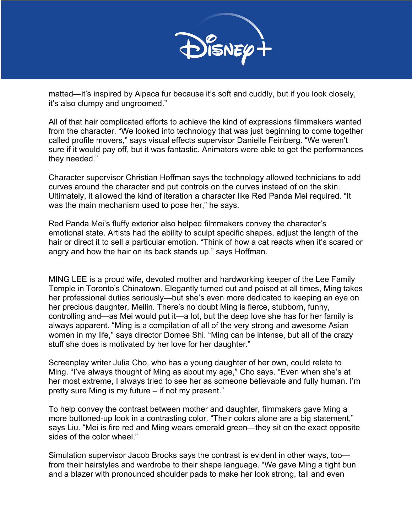

matted—it's inspired by Alpaca fur because it's soft and cuddly, but if you look closely, it's also clumpy and ungroomed."

All of that hair complicated efforts to achieve the kind of expressions filmmakers wanted from the character. "We looked into technology that was just beginning to come together called profile movers," says visual effects supervisor Danielle Feinberg. "We weren't sure if it would pay off, but it was fantastic. Animators were able to get the performances they needed."

Character supervisor Christian Hoffman says the technology allowed technicians to add curves around the character and put controls on the curves instead of on the skin. Ultimately, it allowed the kind of iteration a character like Red Panda Mei required. "It was the main mechanism used to pose her," he says.

Red Panda Mei's fluffy exterior also helped filmmakers convey the character's emotional state. Artists had the ability to sculpt specific shapes, adjust the length of the hair or direct it to sell a particular emotion. "Think of how a cat reacts when it's scared or angry and how the hair on its back stands up," says Hoffman.

MING LEE is a proud wife, devoted mother and hardworking keeper of the Lee Family Temple in Toronto's Chinatown. Elegantly turned out and poised at all times, Ming takes her professional duties seriously—but she's even more dedicated to keeping an eye on her precious daughter, Meilin. There's no doubt Ming is fierce, stubborn, funny, controlling and—as Mei would put it—a lot, but the deep love she has for her family is always apparent. "Ming is a compilation of all of the very strong and awesome Asian women in my life," says director Domee Shi. "Ming can be intense, but all of the crazy stuff she does is motivated by her love for her daughter."

Screenplay writer Julia Cho, who has a young daughter of her own, could relate to Ming. "I've always thought of Ming as about my age," Cho says. "Even when she's at her most extreme, I always tried to see her as someone believable and fully human. I'm pretty sure Ming is my future – if not my present."

To help convey the contrast between mother and daughter, filmmakers gave Ming a more buttoned-up look in a contrasting color. "Their colors alone are a big statement," says Liu. "Mei is fire red and Ming wears emerald green—they sit on the exact opposite sides of the color wheel."

Simulation supervisor Jacob Brooks says the contrast is evident in other ways, too from their hairstyles and wardrobe to their shape language. "We gave Ming a tight bun and a blazer with pronounced shoulder pads to make her look strong, tall and even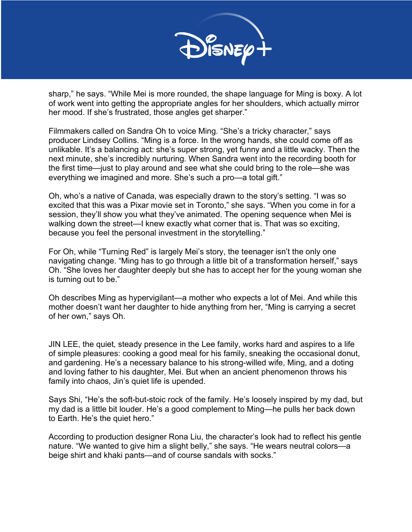

sharp," he says. "While Mei is more rounded, the shape language for Ming is boxy. A lot of work went into getting the appropriate angles for her shoulders, which actually mirror her mood. If she's frustrated, those angles get sharper."

Filmmakers called on Sandra Oh to voice Ming. "She's a tricky character," says producer Lindsey Collins. "Ming is a force. In the wrong hands, she could come off as unlikable. It's a balancing act: she's super strong, yet funny and a little wacky. Then the next minute, she's incredibly nurturing. When Sandra went into the recording booth for the first time—just to play around and see what she could bring to the role—she was everything we imagined and more. She's such a pro—a total gift."

Oh, who's a native of Canada, was especially drawn to the story's setting. "I was so excited that this was a Pixar movie set in Toronto," she says. "When you come in for a session, they'll show you what they've animated. The opening sequence when Mei is walking down the street—I knew exactly what corner that is. That was so exciting, because you feel the personal investment in the storytelling."

For Oh, while "Turning Red" is largely Mei's story, the teenager isn't the only one navigating change. "Ming has to go through a little bit of a transformation herself," says Oh. "She loves her daughter deeply but she has to accept her for the young woman she is turning out to be."

Oh describes Ming as hypervigilant—a mother who expects a lot of Mei. And while this mother doesn't want her daughter to hide anything from her, "Ming is carrying a secret of her own," says Oh.

JIN LEE, the quiet, steady presence in the Lee family, works hard and aspires to a life of simple pleasures: cooking a good meal for his family, sneaking the occasional donut, and gardening. He's a necessary balance to his strong-willed wife, Ming, and a doting and loving father to his daughter, Mei. But when an ancient phenomenon throws his family into chaos, Jin's quiet life is upended.

Says Shi, "He's the soft-but-stoic rock of the family. He's loosely inspired by my dad, but my dad is a little bit louder. He's a good complement to Ming—he pulls her back down to Earth. He's the quiet hero."

According to production designer Rona Liu, the character's look had to reflect his gentle nature. "We wanted to give him a slight belly," she says. "He wears neutral colors—a beige shirt and khaki pants—and of course sandals with socks."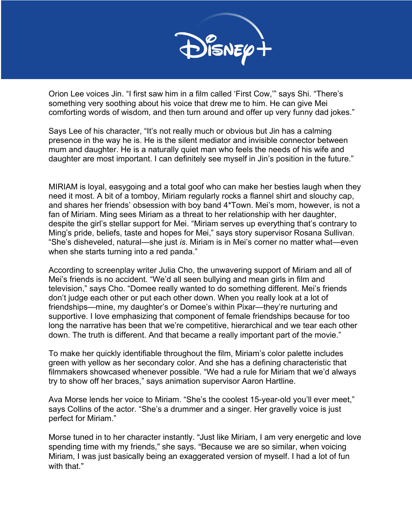

Orion Lee voices Jin. "I first saw him in a film called 'First Cow,'" says Shi. "There's something very soothing about his voice that drew me to him. He can give Mei comforting words of wisdom, and then turn around and offer up very funny dad jokes."

Says Lee of his character, "It's not really much or obvious but Jin has a calming presence in the way he is. He is the silent mediator and invisible connector between mum and daughter. He is a naturally quiet man who feels the needs of his wife and daughter are most important. I can definitely see myself in Jin's position in the future."

MIRIAM is loyal, easygoing and a total goof who can make her besties laugh when they need it most. A bit of a tomboy, Miriam regularly rocks a flannel shirt and slouchy cap, and shares her friends' obsession with boy band 4\*Town. Mei's mom, however, is not a fan of Miriam. Ming sees Miriam as a threat to her relationship with her daughter, despite the girl's stellar support for Mei. "Miriam serves up everything that's contrary to Ming's pride, beliefs, taste and hopes for Mei," says story supervisor Rosana Sullivan. "She's disheveled, natural—she just *is*. Miriam is in Mei's corner no matter what—even when she starts turning into a red panda."

According to screenplay writer Julia Cho, the unwavering support of Miriam and all of Mei's friends is no accident. "We'd all seen bullying and mean girls in film and television," says Cho. "Domee really wanted to do something different. Mei's friends don't judge each other or put each other down. When you really look at a lot of friendships—mine, my daughter's or Domee's within Pixar—they're nurturing and supportive. I love emphasizing that component of female friendships because for too long the narrative has been that we're competitive, hierarchical and we tear each other down. The truth is different. And that became a really important part of the movie."

To make her quickly identifiable throughout the film, Miriam's color palette includes green with yellow as her secondary color. And she has a defining characteristic that filmmakers showcased whenever possible. "We had a rule for Miriam that we'd always try to show off her braces," says animation supervisor Aaron Hartline.

Ava Morse lends her voice to Miriam. "She's the coolest 15-year-old you'll ever meet," says Collins of the actor. "She's a drummer and a singer. Her gravelly voice is just perfect for Miriam."

Morse tuned in to her character instantly. "Just like Miriam, I am very energetic and love spending time with my friends," she says. "Because we are so similar, when voicing Miriam, I was just basically being an exaggerated version of myself. I had a lot of fun with that."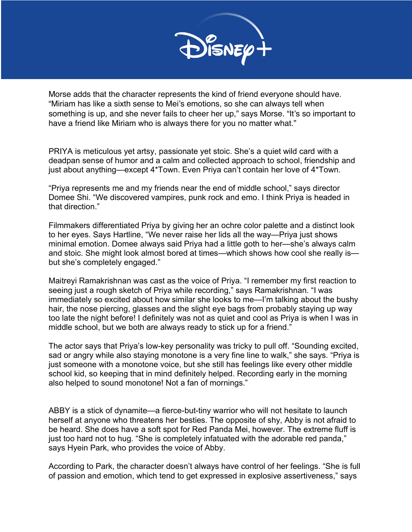

Morse adds that the character represents the kind of friend everyone should have. "Miriam has like a sixth sense to Mei's emotions, so she can always tell when something is up, and she never fails to cheer her up," says Morse. "It's so important to have a friend like Miriam who is always there for you no matter what."

PRIYA is meticulous yet artsy, passionate yet stoic. She's a quiet wild card with a deadpan sense of humor and a calm and collected approach to school, friendship and just about anything—except 4\*Town. Even Priya can't contain her love of 4\*Town.

"Priya represents me and my friends near the end of middle school," says director Domee Shi. "We discovered vampires, punk rock and emo. I think Priya is headed in that direction."

Filmmakers differentiated Priya by giving her an ochre color palette and a distinct look to her eyes. Says Hartline, "We never raise her lids all the way—Priya just shows minimal emotion. Domee always said Priya had a little goth to her—she's always calm and stoic. She might look almost bored at times—which shows how cool she really is but she's completely engaged."

Maitreyi Ramakrishnan was cast as the voice of Priya. "I remember my first reaction to seeing just a rough sketch of Priya while recording," says Ramakrishnan. "I was immediately so excited about how similar she looks to me—I'm talking about the bushy hair, the nose piercing, glasses and the slight eye bags from probably staying up way too late the night before! I definitely was not as quiet and cool as Priya is when I was in middle school, but we both are always ready to stick up for a friend."

The actor says that Priya's low-key personality was tricky to pull off. "Sounding excited, sad or angry while also staying monotone is a very fine line to walk," she says. "Priya is just someone with a monotone voice, but she still has feelings like every other middle school kid, so keeping that in mind definitely helped. Recording early in the morning also helped to sound monotone! Not a fan of mornings."

ABBY is a stick of dynamite—a fierce-but-tiny warrior who will not hesitate to launch herself at anyone who threatens her besties. The opposite of shy, Abby is not afraid to be heard. She does have a soft spot for Red Panda Mei, however. The extreme fluff is just too hard not to hug. "She is completely infatuated with the adorable red panda," says Hyein Park, who provides the voice of Abby.

According to Park, the character doesn't always have control of her feelings. "She is full of passion and emotion, which tend to get expressed in explosive assertiveness," says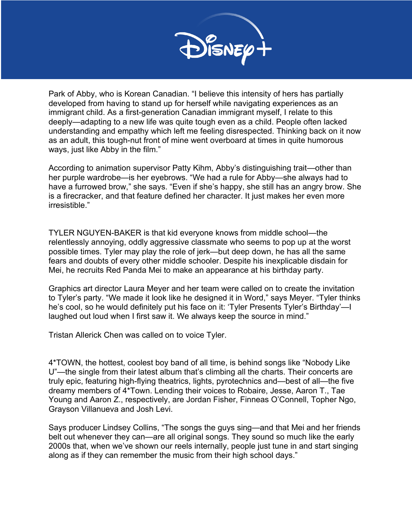

Park of Abby, who is Korean Canadian. "I believe this intensity of hers has partially developed from having to stand up for herself while navigating experiences as an immigrant child. As a first-generation Canadian immigrant myself, I relate to this deeply—adapting to a new life was quite tough even as a child. People often lacked understanding and empathy which left me feeling disrespected. Thinking back on it now as an adult, this tough-nut front of mine went overboard at times in quite humorous ways, just like Abby in the film."

According to animation supervisor Patty Kihm, Abby's distinguishing trait—other than her purple wardrobe—is her eyebrows. "We had a rule for Abby—she always had to have a furrowed brow," she says. "Even if she's happy, she still has an angry brow. She is a firecracker, and that feature defined her character. It just makes her even more irresistible."

TYLER NGUYEN-BAKER is that kid everyone knows from middle school—the relentlessly annoying, oddly aggressive classmate who seems to pop up at the worst possible times. Tyler may play the role of jerk—but deep down, he has all the same fears and doubts of every other middle schooler. Despite his inexplicable disdain for Mei, he recruits Red Panda Mei to make an appearance at his birthday party.

Graphics art director Laura Meyer and her team were called on to create the invitation to Tyler's party. "We made it look like he designed it in Word," says Meyer. "Tyler thinks he's cool, so he would definitely put his face on it: 'Tyler Presents Tyler's Birthday'—I laughed out loud when I first saw it. We always keep the source in mind."

Tristan Allerick Chen was called on to voice Tyler.

4\*TOWN, the hottest, coolest boy band of all time, is behind songs like "Nobody Like U"—the single from their latest album that's climbing all the charts. Their concerts are truly epic, featuring high-flying theatrics, lights, pyrotechnics and—best of all—the five dreamy members of 4\*Town. Lending their voices to Robaire, Jesse, Aaron T., Tae Young and Aaron Z., respectively, are Jordan Fisher, Finneas O'Connell, Topher Ngo, Grayson Villanueva and Josh Levi.

Says producer Lindsey Collins, "The songs the guys sing—and that Mei and her friends belt out whenever they can—are all original songs. They sound so much like the early 2000s that, when we've shown our reels internally, people just tune in and start singing along as if they can remember the music from their high school days."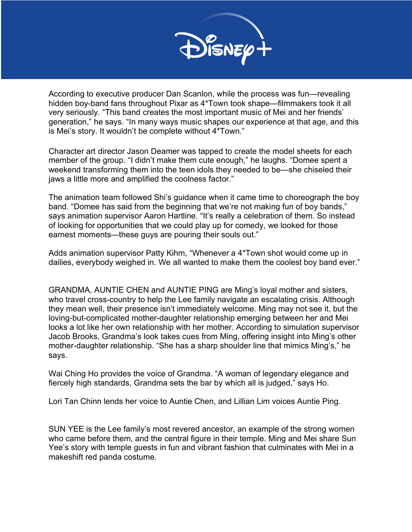

According to executive producer Dan Scanlon, while the process was fun—revealing hidden boy-band fans throughout Pixar as 4\*Town took shape—filmmakers took it all very seriously. "This band creates the most important music of Mei and her friends' generation," he says. "In many ways music shapes our experience at that age, and this is Mei's story. It wouldn't be complete without 4\*Town."

Character art director Jason Deamer was tapped to create the model sheets for each member of the group. "I didn't make them cute enough," he laughs. "Domee spent a weekend transforming them into the teen idols they needed to be—she chiseled their jaws a little more and amplified the coolness factor."

The animation team followed Shi's guidance when it came time to choreograph the boy band. "Domee has said from the beginning that we're not making fun of boy bands," says animation supervisor Aaron Hartline. "It's really a celebration of them. So instead of looking for opportunities that we could play up for comedy, we looked for those earnest moments—these guys are pouring their souls out."

Adds animation supervisor Patty Kihm, "Whenever a 4\*Town shot would come up in dailies, everybody weighed in. We all wanted to make them the coolest boy band ever."

GRANDMA, AUNTIE CHEN and AUNTIE PING are Ming's loyal mother and sisters, who travel cross-country to help the Lee family navigate an escalating crisis. Although they mean well, their presence isn't immediately welcome. Ming may not see it, but the loving-but-complicated mother-daughter relationship emerging between her and Mei looks a lot like her own relationship with her mother. According to simulation supervisor Jacob Brooks, Grandma's look takes cues from Ming, offering insight into Ming's other mother-daughter relationship. "She has a sharp shoulder line that mimics Ming's," he says.

Wai Ching Ho provides the voice of Grandma. "A woman of legendary elegance and fiercely high standards, Grandma sets the bar by which all is judged," says Ho.

Lori Tan Chinn lends her voice to Auntie Chen, and Lillian Lim voices Auntie Ping.

SUN YEE is the Lee family's most revered ancestor, an example of the strong women who came before them, and the central figure in their temple. Ming and Mei share Sun Yee's story with temple guests in fun and vibrant fashion that culminates with Mei in a makeshift red panda costume.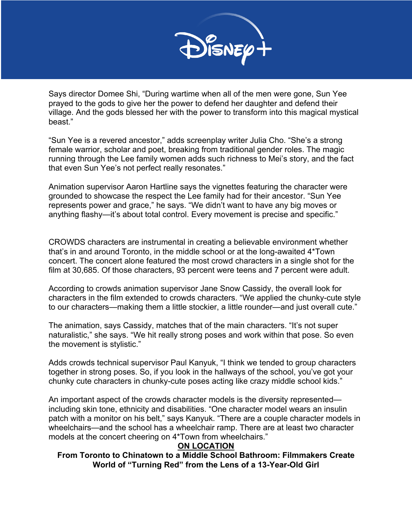

Says director Domee Shi, "During wartime when all of the men were gone, Sun Yee prayed to the gods to give her the power to defend her daughter and defend their village. And the gods blessed her with the power to transform into this magical mystical beast."

"Sun Yee is a revered ancestor," adds screenplay writer Julia Cho. "She's a strong female warrior, scholar and poet, breaking from traditional gender roles. The magic running through the Lee family women adds such richness to Mei's story, and the fact that even Sun Yee's not perfect really resonates."

Animation supervisor Aaron Hartline says the vignettes featuring the character were grounded to showcase the respect the Lee family had for their ancestor. "Sun Yee represents power and grace," he says. "We didn't want to have any big moves or anything flashy—it's about total control. Every movement is precise and specific."

CROWDS characters are instrumental in creating a believable environment whether that's in and around Toronto, in the middle school or at the long-awaited 4\*Town concert. The concert alone featured the most crowd characters in a single shot for the film at 30,685. Of those characters, 93 percent were teens and 7 percent were adult.

According to crowds animation supervisor Jane Snow Cassidy, the overall look for characters in the film extended to crowds characters. "We applied the chunky-cute style to our characters—making them a little stockier, a little rounder—and just overall cute."

The animation, says Cassidy, matches that of the main characters. "It's not super naturalistic," she says. "We hit really strong poses and work within that pose. So even the movement is stylistic."

Adds crowds technical supervisor Paul Kanyuk, "I think we tended to group characters together in strong poses. So, if you look in the hallways of the school, you've got your chunky cute characters in chunky-cute poses acting like crazy middle school kids."

An important aspect of the crowds character models is the diversity represented including skin tone, ethnicity and disabilities. "One character model wears an insulin patch with a monitor on his belt," says Kanyuk. "There are a couple character models in wheelchairs—and the school has a wheelchair ramp. There are at least two character models at the concert cheering on 4\*Town from wheelchairs."

## **ON LOCATION**

**From Toronto to Chinatown to a Middle School Bathroom: Filmmakers Create World of "Turning Red" from the Lens of a 13-Year-Old Girl**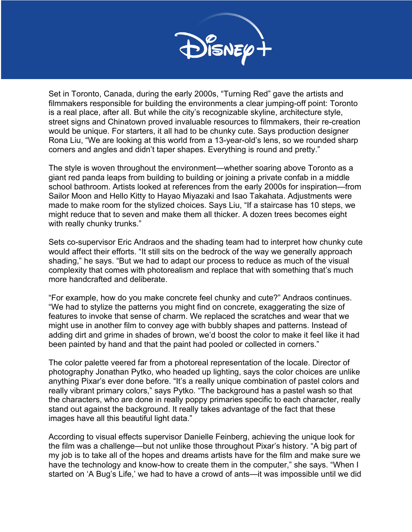

Set in Toronto, Canada, during the early 2000s, "Turning Red" gave the artists and filmmakers responsible for building the environments a clear jumping-off point: Toronto is a real place, after all. But while the city's recognizable skyline, architecture style, street signs and Chinatown proved invaluable resources to filmmakers, their re-creation would be unique. For starters, it all had to be chunky cute. Says production designer Rona Liu, "We are looking at this world from a 13-year-old's lens, so we rounded sharp corners and angles and didn't taper shapes. Everything is round and pretty."

The style is woven throughout the environment—whether soaring above Toronto as a giant red panda leaps from building to building or joining a private confab in a middle school bathroom. Artists looked at references from the early 2000s for inspiration—from Sailor Moon and Hello Kitty to Hayao Miyazaki and Isao Takahata. Adjustments were made to make room for the stylized choices. Says Liu, "If a staircase has 10 steps, we might reduce that to seven and make them all thicker. A dozen trees becomes eight with really chunky trunks."

Sets co-supervisor Eric Andraos and the shading team had to interpret how chunky cute would affect their efforts. "It still sits on the bedrock of the way we generally approach shading," he says. "But we had to adapt our process to reduce as much of the visual complexity that comes with photorealism and replace that with something that's much more handcrafted and deliberate.

"For example, how do you make concrete feel chunky and cute?" Andraos continues. "We had to stylize the patterns you might find on concrete, exaggerating the size of features to invoke that sense of charm. We replaced the scratches and wear that we might use in another film to convey age with bubbly shapes and patterns. Instead of adding dirt and grime in shades of brown, we'd boost the color to make it feel like it had been painted by hand and that the paint had pooled or collected in corners."

The color palette veered far from a photoreal representation of the locale. Director of photography Jonathan Pytko, who headed up lighting, says the color choices are unlike anything Pixar's ever done before. "It's a really unique combination of pastel colors and really vibrant primary colors," says Pytko. "The background has a pastel wash so that the characters, who are done in really poppy primaries specific to each character, really stand out against the background. It really takes advantage of the fact that these images have all this beautiful light data."

According to visual effects supervisor Danielle Feinberg, achieving the unique look for the film was a challenge—but not unlike those throughout Pixar's history. "A big part of my job is to take all of the hopes and dreams artists have for the film and make sure we have the technology and know-how to create them in the computer," she says. "When I started on 'A Bug's Life,' we had to have a crowd of ants—it was impossible until we did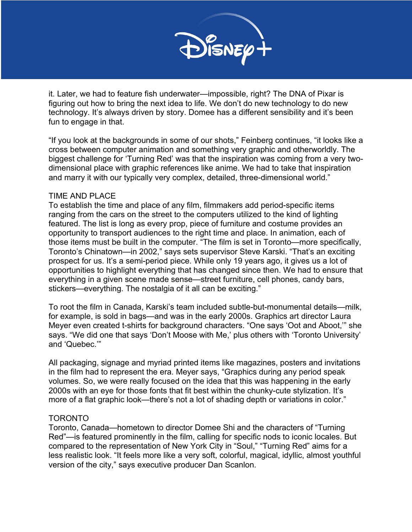

it. Later, we had to feature fish underwater—impossible, right? The DNA of Pixar is figuring out how to bring the next idea to life. We don't do new technology to do new technology. It's always driven by story. Domee has a different sensibility and it's been fun to engage in that.

"If you look at the backgrounds in some of our shots," Feinberg continues, "it looks like a cross between computer animation and something very graphic and otherworldly. The biggest challenge for 'Turning Red' was that the inspiration was coming from a very twodimensional place with graphic references like anime. We had to take that inspiration and marry it with our typically very complex, detailed, three-dimensional world."

#### TIME AND PLACE

To establish the time and place of any film, filmmakers add period-specific items ranging from the cars on the street to the computers utilized to the kind of lighting featured. The list is long as every prop, piece of furniture and costume provides an opportunity to transport audiences to the right time and place. In animation, each of those items must be built in the computer. "The film is set in Toronto—more specifically, Toronto's Chinatown—in 2002," says sets supervisor Steve Karski. "That's an exciting prospect for us. It's a semi-period piece. While only 19 years ago, it gives us a lot of opportunities to highlight everything that has changed since then. We had to ensure that everything in a given scene made sense—street furniture, cell phones, candy bars, stickers—everything. The nostalgia of it all can be exciting."

To root the film in Canada, Karski's team included subtle-but-monumental details—milk, for example, is sold in bags—and was in the early 2000s. Graphics art director Laura Meyer even created t-shirts for background characters. "One says 'Oot and Aboot,'" she says. "We did one that says 'Don't Moose with Me,' plus others with 'Toronto University' and 'Quebec.'"

All packaging, signage and myriad printed items like magazines, posters and invitations in the film had to represent the era. Meyer says, "Graphics during any period speak volumes. So, we were really focused on the idea that this was happening in the early 2000s with an eye for those fonts that fit best within the chunky-cute stylization. It's more of a flat graphic look—there's not a lot of shading depth or variations in color."

## TORONTO

Toronto, Canada—hometown to director Domee Shi and the characters of "Turning Red"—is featured prominently in the film, calling for specific nods to iconic locales. But compared to the representation of New York City in "Soul," "Turning Red" aims for a less realistic look. "It feels more like a very soft, colorful, magical, idyllic, almost youthful version of the city," says executive producer Dan Scanlon.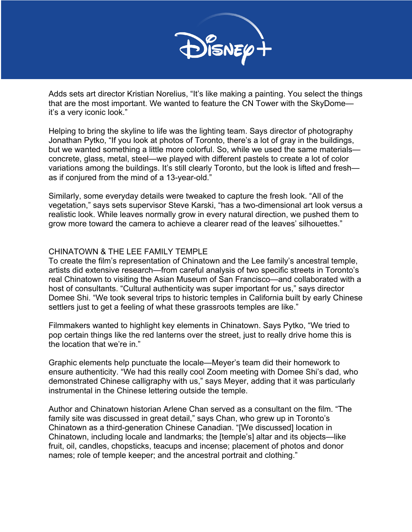

Adds sets art director Kristian Norelius, "It's like making a painting. You select the things that are the most important. We wanted to feature the CN Tower with the SkyDome it's a very iconic look."

Helping to bring the skyline to life was the lighting team. Says director of photography Jonathan Pytko, "If you look at photos of Toronto, there's a lot of gray in the buildings, but we wanted something a little more colorful. So, while we used the same materials concrete, glass, metal, steel—we played with different pastels to create a lot of color variations among the buildings. It's still clearly Toronto, but the look is lifted and fresh as if conjured from the mind of a 13-year-old."

Similarly, some everyday details were tweaked to capture the fresh look. "All of the vegetation," says sets supervisor Steve Karski, "has a two-dimensional art look versus a realistic look. While leaves normally grow in every natural direction, we pushed them to grow more toward the camera to achieve a clearer read of the leaves' silhouettes."

#### CHINATOWN & THE LEE FAMILY TEMPLE

To create the film's representation of Chinatown and the Lee family's ancestral temple, artists did extensive research—from careful analysis of two specific streets in Toronto's real Chinatown to visiting the Asian Museum of San Francisco—and collaborated with a host of consultants. "Cultural authenticity was super important for us," says director Domee Shi. "We took several trips to historic temples in California built by early Chinese settlers just to get a feeling of what these grassroots temples are like."

Filmmakers wanted to highlight key elements in Chinatown. Says Pytko, "We tried to pop certain things like the red lanterns over the street, just to really drive home this is the location that we're in."

Graphic elements help punctuate the locale—Meyer's team did their homework to ensure authenticity. "We had this really cool Zoom meeting with Domee Shi's dad, who demonstrated Chinese calligraphy with us," says Meyer, adding that it was particularly instrumental in the Chinese lettering outside the temple.

Author and Chinatown historian Arlene Chan served as a consultant on the film. "The family site was discussed in great detail," says Chan, who grew up in Toronto's Chinatown as a third-generation Chinese Canadian. "[We discussed] location in Chinatown, including locale and landmarks; the [temple's] altar and its objects—like fruit, oil, candles, chopsticks, teacups and incense; placement of photos and donor names; role of temple keeper; and the ancestral portrait and clothing."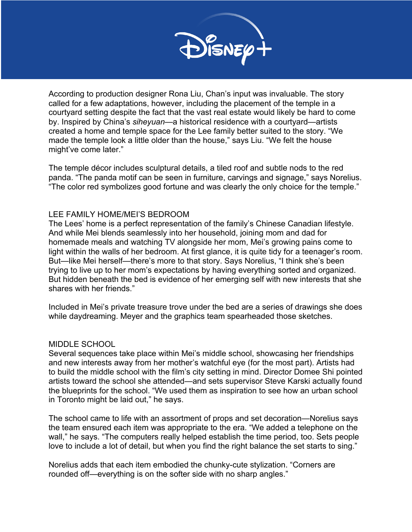

According to production designer Rona Liu, Chan's input was invaluable. The story called for a few adaptations, however, including the placement of the temple in a courtyard setting despite the fact that the vast real estate would likely be hard to come by. Inspired by China's *siheyuan*—a historical residence with a courtyard—artists created a home and temple space for the Lee family better suited to the story. "We made the temple look a little older than the house," says Liu. "We felt the house might've come later."

The temple décor includes sculptural details, a tiled roof and subtle nods to the red panda. "The panda motif can be seen in furniture, carvings and signage," says Norelius. "The color red symbolizes good fortune and was clearly the only choice for the temple."

#### LEE FAMILY HOME/MEI'S BEDROOM

The Lees' home is a perfect representation of the family's Chinese Canadian lifestyle. And while Mei blends seamlessly into her household, joining mom and dad for homemade meals and watching TV alongside her mom, Mei's growing pains come to light within the walls of her bedroom. At first glance, it is quite tidy for a teenager's room. But—like Mei herself—there's more to that story. Says Norelius, "I think she's been trying to live up to her mom's expectations by having everything sorted and organized. But hidden beneath the bed is evidence of her emerging self with new interests that she shares with her friends."

Included in Mei's private treasure trove under the bed are a series of drawings she does while daydreaming. Meyer and the graphics team spearheaded those sketches.

#### MIDDLE SCHOOL

Several sequences take place within Mei's middle school, showcasing her friendships and new interests away from her mother's watchful eye (for the most part). Artists had to build the middle school with the film's city setting in mind. Director Domee Shi pointed artists toward the school she attended—and sets supervisor Steve Karski actually found the blueprints for the school. "We used them as inspiration to see how an urban school in Toronto might be laid out," he says.

The school came to life with an assortment of props and set decoration—Norelius says the team ensured each item was appropriate to the era. "We added a telephone on the wall," he says. "The computers really helped establish the time period, too. Sets people love to include a lot of detail, but when you find the right balance the set starts to sing."

Norelius adds that each item embodied the chunky-cute stylization. "Corners are rounded off—everything is on the softer side with no sharp angles."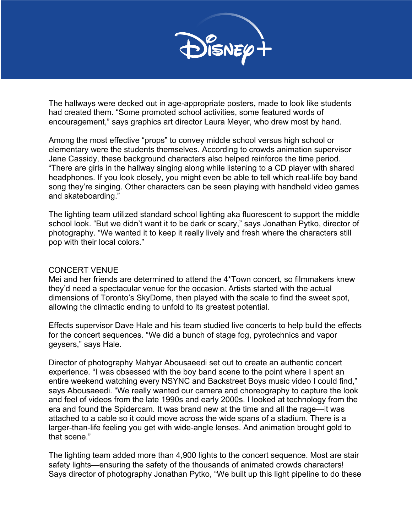

The hallways were decked out in age-appropriate posters, made to look like students had created them. "Some promoted school activities, some featured words of encouragement," says graphics art director Laura Meyer, who drew most by hand.

Among the most effective "props" to convey middle school versus high school or elementary were the students themselves. According to crowds animation supervisor Jane Cassidy, these background characters also helped reinforce the time period. "There are girls in the hallway singing along while listening to a CD player with shared headphones. If you look closely, you might even be able to tell which real-life boy band song they're singing. Other characters can be seen playing with handheld video games and skateboarding."

The lighting team utilized standard school lighting aka fluorescent to support the middle school look. "But we didn't want it to be dark or scary," says Jonathan Pytko, director of photography. "We wanted it to keep it really lively and fresh where the characters still pop with their local colors."

#### CONCERT VENUE

Mei and her friends are determined to attend the 4\*Town concert, so filmmakers knew they'd need a spectacular venue for the occasion. Artists started with the actual dimensions of Toronto's SkyDome, then played with the scale to find the sweet spot, allowing the climactic ending to unfold to its greatest potential.

Effects supervisor Dave Hale and his team studied live concerts to help build the effects for the concert sequences. "We did a bunch of stage fog, pyrotechnics and vapor geysers," says Hale.

Director of photography Mahyar Abousaeedi set out to create an authentic concert experience. "I was obsessed with the boy band scene to the point where I spent an entire weekend watching every NSYNC and Backstreet Boys music video I could find," says Abousaeedi. "We really wanted our camera and choreography to capture the look and feel of videos from the late 1990s and early 2000s. I looked at technology from the era and found the Spidercam. It was brand new at the time and all the rage—it was attached to a cable so it could move across the wide spans of a stadium. There is a larger-than-life feeling you get with wide-angle lenses. And animation brought gold to that scene."

The lighting team added more than 4,900 lights to the concert sequence. Most are stair safety lights—ensuring the safety of the thousands of animated crowds characters! Says director of photography Jonathan Pytko, "We built up this light pipeline to do these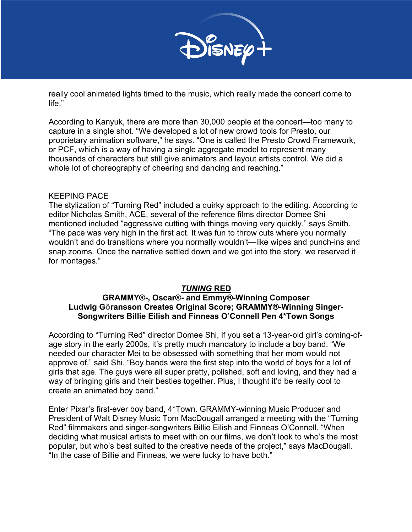

really cool animated lights timed to the music, which really made the concert come to life."

According to Kanyuk, there are more than 30,000 people at the concert—too many to capture in a single shot. "We developed a lot of new crowd tools for Presto, our proprietary animation software," he says. "One is called the Presto Crowd Framework, or PCF, which is a way of having a single aggregate model to represent many thousands of characters but still give animators and layout artists control. We did a whole lot of choreography of cheering and dancing and reaching."

#### KEEPING PACE

The stylization of "Turning Red" included a quirky approach to the editing. According to editor Nicholas Smith, ACE, several of the reference films director Domee Shi mentioned included "aggressive cutting with things moving very quickly," says Smith. "The pace was very high in the first act. It was fun to throw cuts where you normally wouldn't and do transitions where you normally wouldn't—like wipes and punch-ins and snap zooms. Once the narrative settled down and we got into the story, we reserved it for montages."

## *TUNING* **RED**

## **GRAMMY®-, Oscar®- and Emmy®-Winning Composer Ludwig Göransson Creates Original Score; GRAMMY®-Winning Singer-Songwriters Billie Eilish and Finneas O'Connell Pen 4\*Town Songs**

According to "Turning Red" director Domee Shi, if you set a 13-year-old girl's coming-ofage story in the early 2000s, it's pretty much mandatory to include a boy band. "We needed our character Mei to be obsessed with something that her mom would not approve of," said Shi. "Boy bands were the first step into the world of boys for a lot of girls that age. The guys were all super pretty, polished, soft and loving, and they had a way of bringing girls and their besties together. Plus, I thought it'd be really cool to create an animated boy band."

Enter Pixar's first-ever boy band, 4\*Town. GRAMMY-winning Music Producer and President of Walt Disney Music Tom MacDougall arranged a meeting with the "Turning Red" filmmakers and singer-songwriters Billie Eilish and Finneas O'Connell. "When deciding what musical artists to meet with on our films, we don't look to who's the most popular, but who's best suited to the creative needs of the project," says MacDougall. "In the case of Billie and Finneas, we were lucky to have both."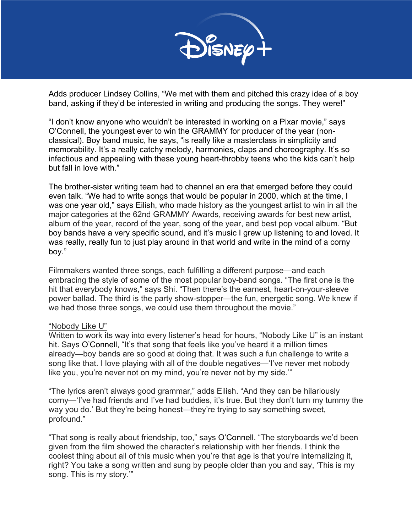

Adds producer Lindsey Collins, "We met with them and pitched this crazy idea of a boy band, asking if they'd be interested in writing and producing the songs. They were!"

"I don't know anyone who wouldn't be interested in working on a Pixar movie," says O'Connell, the youngest ever to win the GRAMMY for producer of the year (nonclassical). Boy band music, he says, "is really like a masterclass in simplicity and memorability. It's a really catchy melody, harmonies, claps and choreography. It's so infectious and appealing with these young heart-throbby teens who the kids can't help but fall in love with."

The brother-sister writing team had to channel an era that emerged before they could even talk. "We had to write songs that would be popular in 2000, which at the time, I was one year old," says Eilish, who made history as the youngest artist to win in all the major categories at the 62nd GRAMMY Awards, receiving awards for best new artist, album of the year, record of the year, song of the year, and best pop vocal album. "But boy bands have a very specific sound, and it's music I grew up listening to and loved. It was really, really fun to just play around in that world and write in the mind of a corny boy."

Filmmakers wanted three songs, each fulfilling a different purpose—and each embracing the style of some of the most popular boy-band songs. "The first one is the hit that everybody knows," says Shi. "Then there's the earnest, heart-on-your-sleeve power ballad. The third is the party show-stopper—the fun, energetic song. We knew if we had those three songs, we could use them throughout the movie."

#### "Nobody Like U"

Written to work its way into every listener's head for hours, "Nobody Like U" is an instant hit. Says O'Connell, "It's that song that feels like you've heard it a million times already—boy bands are so good at doing that. It was such a fun challenge to write a song like that. I love playing with all of the double negatives—'I've never met nobody like you, you're never not on my mind, you're never not by my side."

"The lyrics aren't always good grammar," adds Eilish. "And they can be hilariously corny—'I've had friends and I've had buddies, it's true. But they don't turn my tummy the way you do.' But they're being honest—they're trying to say something sweet, profound."

"That song is really about friendship, too," says O'Connell. "The storyboards we'd been given from the film showed the character's relationship with her friends. I think the coolest thing about all of this music when you're that age is that you're internalizing it, right? You take a song written and sung by people older than you and say, 'This is my song. This is my story.'"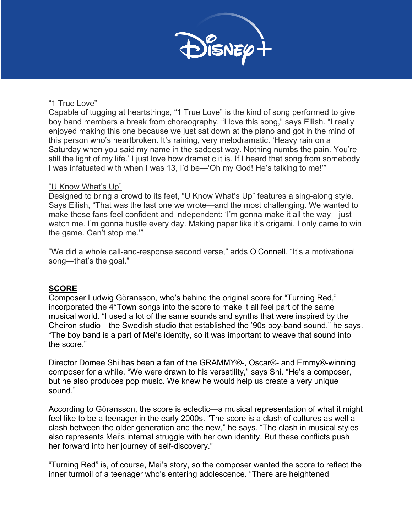

#### "1 True Love"

Capable of tugging at heartstrings, "1 True Love" is the kind of song performed to give boy band members a break from choreography. "I love this song," says Eilish. "I really enjoyed making this one because we just sat down at the piano and got in the mind of this person who's heartbroken. It's raining, very melodramatic. 'Heavy rain on a Saturday when you said my name in the saddest way. Nothing numbs the pain. You're still the light of my life.' I just love how dramatic it is. If I heard that song from somebody I was infatuated with when I was 13, I'd be—'Oh my God! He's talking to me!'"

## "U Know What's Up"

Designed to bring a crowd to its feet, "U Know What's Up" features a sing-along style. Says Eilish, "That was the last one we wrote—and the most challenging. We wanted to make these fans feel confident and independent: 'I'm gonna make it all the way—just watch me. I'm gonna hustle every day. Making paper like it's origami. I only came to win the game. Can't stop me.'"

"We did a whole call-and-response second verse," adds O'Connell. "It's a motivational song—that's the goal."

## **SCORE**

Composer Ludwig Göransson, who's behind the original score for "Turning Red," incorporated the 4\*Town songs into the score to make it all feel part of the same musical world. "I used a lot of the same sounds and synths that were inspired by the Cheiron studio—the Swedish studio that established the '90s boy-band sound," he says. "The boy band is a part of Mei's identity, so it was important to weave that sound into the score."

Director Domee Shi has been a fan of the GRAMMY®-, Oscar®- and Emmy®-winning composer for a while. "We were drawn to his versatility," says Shi. "He's a composer, but he also produces pop music. We knew he would help us create a very unique sound."

According to Göransson, the score is eclectic—a musical representation of what it might feel like to be a teenager in the early 2000s. "The score is a clash of cultures as well a clash between the older generation and the new," he says. "The clash in musical styles also represents Mei's internal struggle with her own identity. But these conflicts push her forward into her journey of self-discovery."

"Turning Red" is, of course, Mei's story, so the composer wanted the score to reflect the inner turmoil of a teenager who's entering adolescence. "There are heightened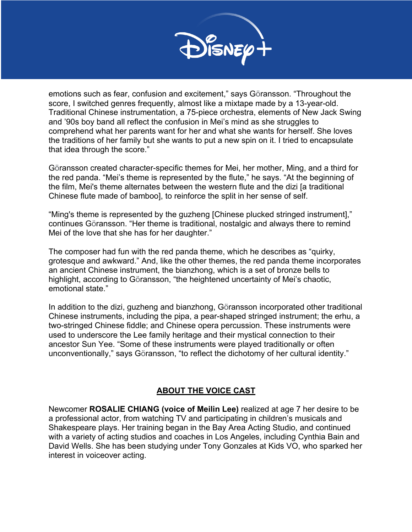

emotions such as fear, confusion and excitement," says Göransson. "Throughout the score, I switched genres frequently, almost like a mixtape made by a 13-year-old. Traditional Chinese instrumentation, a 75-piece orchestra, elements of New Jack Swing and '90s boy band all reflect the confusion in Mei's mind as she struggles to comprehend what her parents want for her and what she wants for herself. She loves the traditions of her family but she wants to put a new spin on it. I tried to encapsulate that idea through the score."

Göransson created character-specific themes for Mei, her mother, Ming, and a third for the red panda. "Mei's theme is represented by the flute," he says. "At the beginning of the film, Mei's theme alternates between the western flute and the dizi [a traditional Chinese flute made of bamboo], to reinforce the split in her sense of self.

"Ming's theme is represented by the guzheng [Chinese plucked stringed instrument]," continues Göransson. "Her theme is traditional, nostalgic and always there to remind Mei of the love that she has for her daughter."

The composer had fun with the red panda theme, which he describes as "quirky, grotesque and awkward." And, like the other themes, the red panda theme incorporates an ancient Chinese instrument, the bianzhong, which is a set of bronze bells to highlight, according to Göransson, "the heightened uncertainty of Mei's chaotic, emotional state."

In addition to the dizi, guzheng and bianzhong, Göransson incorporated other traditional Chinese instruments, including the pipa, a pear-shaped stringed instrument; the erhu, a two-stringed Chinese fiddle; and Chinese opera percussion. These instruments were used to underscore the Lee family heritage and their mystical connection to their ancestor Sun Yee. "Some of these instruments were played traditionally or often unconventionally," says Göransson, "to reflect the dichotomy of her cultural identity."

## **ABOUT THE VOICE CAST**

Newcomer **ROSALIE CHIANG (voice of Meilin Lee)** realized at age 7 her desire to be a professional actor, from watching TV and participating in children's musicals and Shakespeare plays. Her training began in the Bay Area Acting Studio, and continued with a variety of acting studios and coaches in Los Angeles, including Cynthia Bain and David Wells. She has been studying under Tony Gonzales at Kids VO, who sparked her interest in voiceover acting.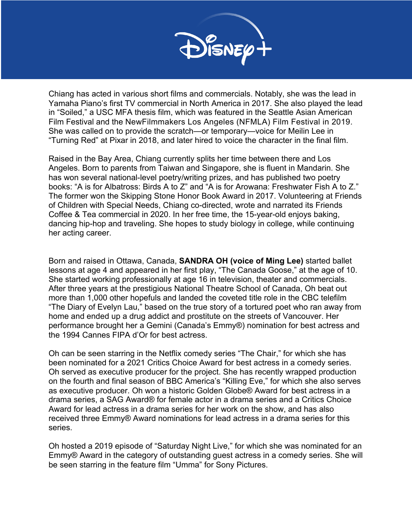

Chiang has acted in various short films and commercials. Notably, she was the lead in Yamaha Piano's first TV commercial in North America in 2017. She also played the lead in "Soiled," a USC MFA thesis film, which was featured in the Seattle Asian American Film Festival and the NewFilmmakers Los Angeles (NFMLA) Film Festival in 2019. She was called on to provide the scratch—or temporary—voice for Meilin Lee in "Turning Red" at Pixar in 2018, and later hired to voice the character in the final film.

Raised in the Bay Area, Chiang currently splits her time between there and Los Angeles. Born to parents from Taiwan and Singapore, she is fluent in Mandarin. She has won several national-level poetry/writing prizes, and has published two poetry books: "A is for Albatross: Birds A to Z" and "A is for Arowana: Freshwater Fish A to Z." The former won the Skipping Stone Honor Book Award in 2017. Volunteering at Friends of Children with Special Needs, Chiang co-directed, wrote and narrated its Friends Coffee & Tea commercial in 2020. In her free time, the 15-year-old enjoys baking, dancing hip-hop and traveling. She hopes to study biology in college, while continuing her acting career.

Born and raised in Ottawa, Canada, **SANDRA OH (voice of Ming Lee)** started ballet lessons at age 4 and appeared in her first play, "The Canada Goose," at the age of 10. She started working professionally at age 16 in television, theater and commercials. After three years at the prestigious National Theatre School of Canada, Oh beat out more than 1,000 other hopefuls and landed the coveted title role in the CBC telefilm "The Diary of Evelyn Lau," based on the true story of a tortured poet who ran away from home and ended up a drug addict and prostitute on the streets of Vancouver. Her performance brought her a Gemini (Canada's Emmy®) nomination for best actress and the 1994 Cannes FIPA d'Or for best actress.

Oh can be seen starring in the Netflix comedy series "The Chair," for which she has been nominated for a 2021 Critics Choice Award for best actress in a comedy series. Oh served as executive producer for the project. She has recently wrapped production on the fourth and final season of BBC America's "Killing Eve," for which she also serves as executive producer. Oh won a historic Golden Globe® Award for best actress in a drama series, a SAG Award® for female actor in a drama series and a Critics Choice Award for lead actress in a drama series for her work on the show, and has also received three Emmy® Award nominations for lead actress in a drama series for this series.

Oh hosted a 2019 episode of "Saturday Night Live," for which she was nominated for an Emmy® Award in the category of outstanding guest actress in a comedy series. She will be seen starring in the feature film "Umma" for Sony Pictures.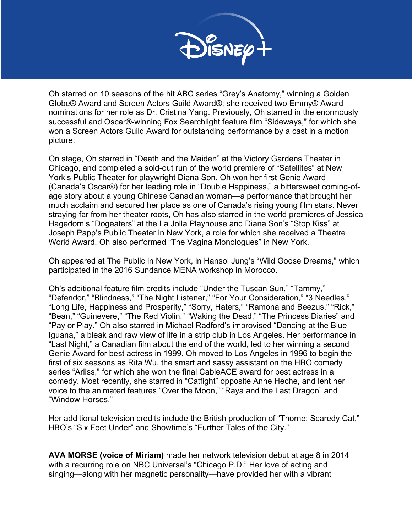

Oh starred on 10 seasons of the hit ABC series "Grey's Anatomy," winning a Golden Globe® Award and Screen Actors Guild Award®; she received two Emmy® Award nominations for her role as Dr. Cristina Yang. Previously, Oh starred in the enormously successful and Oscar®-winning Fox Searchlight feature film "Sideways," for which she won a Screen Actors Guild Award for outstanding performance by a cast in a motion picture.

On stage, Oh starred in "Death and the Maiden" at the Victory Gardens Theater in Chicago, and completed a sold-out run of the world premiere of "Satellites" at New York's Public Theater for playwright Diana Son. Oh won her first Genie Award (Canada's Oscar®) for her leading role in "Double Happiness," a bittersweet coming-ofage story about a young Chinese Canadian woman—a performance that brought her much acclaim and secured her place as one of Canada's rising young film stars. Never straying far from her theater roots, Oh has also starred in the world premieres of Jessica Hagedorn's "Dogeaters" at the La Jolla Playhouse and Diana Son's "Stop Kiss" at Joseph Papp's Public Theater in New York, a role for which she received a Theatre World Award. Oh also performed "The Vagina Monologues" in New York.

Oh appeared at The Public in New York, in Hansol Jung's "Wild Goose Dreams," which participated in the 2016 Sundance MENA workshop in Morocco.

Oh's additional feature film credits include "Under the Tuscan Sun," "Tammy," "Defendor," "Blindness," "The Night Listener," "For Your Consideration," "3 Needles," "Long Life, Happiness and Prosperity," "Sorry, Haters," "Ramona and Beezus," "Rick," "Bean," "Guinevere," "The Red Violin," "Waking the Dead," "The Princess Diaries" and "Pay or Play." Oh also starred in Michael Radford's improvised "Dancing at the Blue Iguana," a bleak and raw view of life in a strip club in Los Angeles. Her performance in "Last Night," a Canadian film about the end of the world, led to her winning a second Genie Award for best actress in 1999. Oh moved to Los Angeles in 1996 to begin the first of six seasons as Rita Wu, the smart and sassy assistant on the HBO comedy series "Arliss," for which she won the final CableACE award for best actress in a comedy. Most recently, she starred in "Catfight" opposite Anne Heche, and lent her voice to the animated features "Over the Moon," "Raya and the Last Dragon" and "Window Horses."

Her additional television credits include the British production of "Thorne: Scaredy Cat," HBO's "Six Feet Under" and Showtime's "Further Tales of the City."

**AVA MORSE (voice of Miriam)** made her network television debut at age 8 in 2014 with a recurring role on NBC Universal's "Chicago P.D." Her love of acting and singing—along with her magnetic personality—have provided her with a vibrant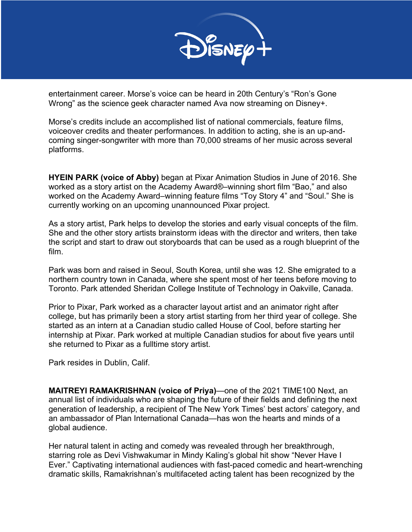

entertainment career. Morse's voice can be heard in 20th Century's "Ron's Gone Wrong" as the science geek character named Ava now streaming on Disney+.

Morse's credits include an accomplished list of national commercials, feature films, voiceover credits and theater performances. In addition to acting, she is an up-andcoming singer-songwriter with more than 70,000 streams of her music across several platforms.

**HYEIN PARK (voice of Abby)** began at Pixar Animation Studios in June of 2016. She worked as a story artist on the Academy Award®–winning short film "Bao," and also worked on the Academy Award–winning feature films "Toy Story 4" and "Soul." She is currently working on an upcoming unannounced Pixar project.

As a story artist, Park helps to develop the stories and early visual concepts of the film. She and the other story artists brainstorm ideas with the director and writers, then take the script and start to draw out storyboards that can be used as a rough blueprint of the film.

Park was born and raised in Seoul, South Korea, until she was 12. She emigrated to a northern country town in Canada, where she spent most of her teens before moving to Toronto. Park attended Sheridan College Institute of Technology in Oakville, Canada.

Prior to Pixar, Park worked as a character layout artist and an animator right after college, but has primarily been a story artist starting from her third year of college. She started as an intern at a Canadian studio called House of Cool, before starting her internship at Pixar. Park worked at multiple Canadian studios for about five years until she returned to Pixar as a fulltime story artist.

Park resides in Dublin, Calif.

**MAITREYI RAMAKRISHNAN (voice of Priya)**—one of the 2021 TIME100 Next, an annual list of individuals who are shaping the future of their fields and defining the next generation of leadership, a recipient of The New York Times' best actors' category, and an ambassador of Plan International Canada—has won the hearts and minds of a global audience.

Her natural talent in acting and comedy was revealed through her breakthrough, starring role as Devi Vishwakumar in Mindy Kaling's global hit show "Never Have I Ever." Captivating international audiences with fast-paced comedic and heart-wrenching dramatic skills, Ramakrishnan's multifaceted acting talent has been recognized by the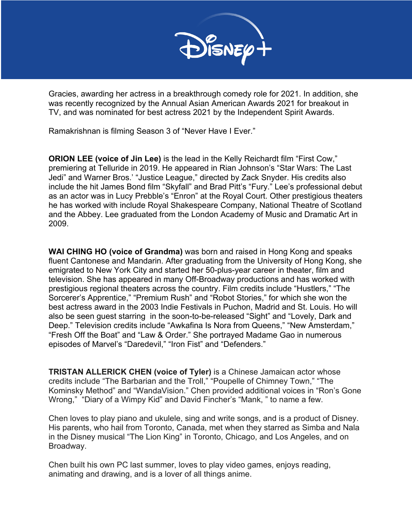

Gracies, awarding her actress in a breakthrough comedy role for 2021. In addition, she was recently recognized by the Annual Asian American Awards 2021 for breakout in TV, and was nominated for best actress 2021 by the Independent Spirit Awards.

Ramakrishnan is filming Season 3 of "Never Have I Ever."

**ORION LEE (voice of Jin Lee)** is the lead in the Kelly Reichardt film "First Cow," premiering at Telluride in 2019. He appeared in Rian Johnson's "Star Wars: The Last Jedi" and Warner Bros.' "Justice League," directed by Zack Snyder. His credits also include the hit James Bond film "Skyfall" and Brad Pitt's "Fury." Lee's professional debut as an actor was in Lucy Prebble's "Enron" at the Royal Court. Other prestigious theaters he has worked with include Royal Shakespeare Company, National Theatre of Scotland and the Abbey. Lee graduated from the London Academy of Music and Dramatic Art in 2009.

**WAI CHING HO (voice of Grandma)** was born and raised in Hong Kong and speaks fluent Cantonese and Mandarin. After graduating from the University of Hong Kong, she emigrated to New York City and started her 50-plus-year career in theater, film and television. She has appeared in many Off-Broadway productions and has worked with prestigious regional theaters across the country. Film credits include "Hustlers," "The Sorcerer's Apprentice," "Premium Rush" and "Robot Stories," for which she won the best actress award in the 2003 Indie Festivals in Puchon, Madrid and St. Louis. Ho will also be seen guest starring in the soon-to-be-released "Sight" and "Lovely, Dark and Deep." Television credits include "Awkafina Is Nora from Queens," "New Amsterdam," "Fresh Off the Boat" and "Law & Order." She portrayed Madame Gao in numerous episodes of Marvel's "Daredevil," "Iron Fist" and "Defenders."

**TRISTAN ALLERICK CHEN (voice of Tyler)** is a Chinese Jamaican actor whose credits include "The Barbarian and the Troll," "Poupelle of Chimney Town," "The Kominsky Method" and "WandaVision." Chen provided additional voices in "Ron's Gone Wrong," "Diary of a Wimpy Kid" and David Fincher's "Mank, " to name a few.

Chen loves to play piano and ukulele, sing and write songs, and is a product of Disney. His parents, who hail from Toronto, Canada, met when they starred as Simba and Nala in the Disney musical "The Lion King" in Toronto, Chicago, and Los Angeles, and on Broadway.

Chen built his own PC last summer, loves to play video games, enjoys reading, animating and drawing, and is a lover of all things anime.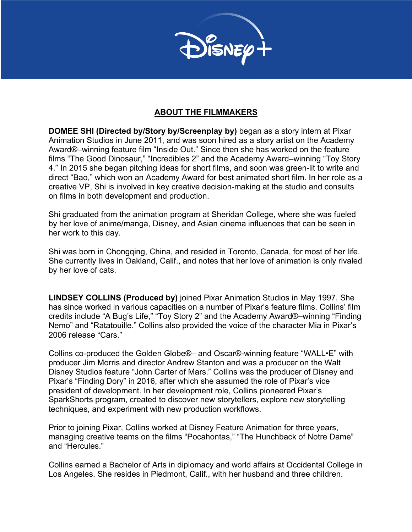

## **ABOUT THE FILMMAKERS**

**DOMEE SHI (Directed by/Story by/Screenplay by)** began as a story intern at Pixar Animation Studios in June 2011, and was soon hired as a story artist on the Academy Award®–winning feature film "Inside Out." Since then she has worked on the feature films "The Good Dinosaur," "Incredibles 2" and the Academy Award–winning "Toy Story 4." In 2015 she began pitching ideas for short films, and soon was green-lit to write and direct "Bao," which won an Academy Award for best animated short film. In her role as a creative VP, Shi is involved in key creative decision-making at the studio and consults on films in both development and production.

Shi graduated from the animation program at Sheridan College, where she was fueled by her love of anime/manga, Disney, and Asian cinema influences that can be seen in her work to this day.

Shi was born in Chongqing, China, and resided in Toronto, Canada, for most of her life. She currently lives in Oakland, Calif., and notes that her love of animation is only rivaled by her love of cats.

**LINDSEY COLLINS (Produced by)** joined Pixar Animation Studios in May 1997. She has since worked in various capacities on a number of Pixar's feature films. Collins' film credits include "A Bug's Life," "Toy Story 2" and the Academy Award®–winning "Finding Nemo" and "Ratatouille." Collins also provided the voice of the character Mia in Pixar's 2006 release "Cars."

Collins co-produced the Golden Globe®– and Oscar®-winning feature "WALL•E" with producer Jim Morris and director Andrew Stanton and was a producer on the Walt Disney Studios feature "John Carter of Mars." Collins was the producer of Disney and Pixar's "Finding Dory" in 2016, after which she assumed the role of Pixar's vice president of development. In her development role, Collins pioneered Pixar's SparkShorts program, created to discover new storytellers, explore new storytelling techniques, and experiment with new production workflows.

Prior to joining Pixar, Collins worked at Disney Feature Animation for three years, managing creative teams on the films "Pocahontas," "The Hunchback of Notre Dame" and "Hercules."

Collins earned a Bachelor of Arts in diplomacy and world affairs at Occidental College in Los Angeles. She resides in Piedmont, Calif., with her husband and three children.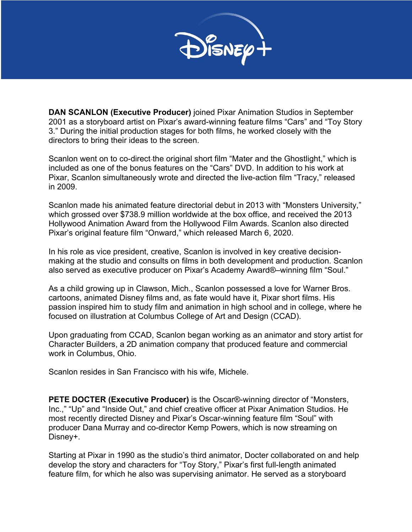

**DAN SCANLON (Executive Producer)** joined Pixar Animation Studios in September 2001 as a storyboard artist on Pixar's award-winning feature films "Cars" and "Toy Story 3." During the initial production stages for both films, he worked closely with the directors to bring their ideas to the screen.

Scanlon went on to co-direct-the original short film "Mater and the Ghostlight," which is included as one of the bonus features on the "Cars" DVD. In addition to his work at Pixar, Scanlon simultaneously wrote and directed the live-action film "Tracy," released in 2009.

Scanlon made his animated feature directorial debut in 2013 with "Monsters University," which grossed over \$738.9 million worldwide at the box office, and received the 2013 Hollywood Animation Award from the Hollywood Film Awards. Scanlon also directed Pixar's original feature film "Onward," which released March 6, 2020.

In his role as vice president, creative, Scanlon is involved in key creative decisionmaking at the studio and consults on films in both development and production. Scanlon also served as executive producer on Pixar's Academy Award®–winning film "Soul."

As a child growing up in Clawson, Mich., Scanlon possessed a love for Warner Bros. cartoons, animated Disney films and, as fate would have it, Pixar short films. His passion inspired him to study film and animation in high school and in college, where he focused on illustration at Columbus College of Art and Design (CCAD).

Upon graduating from CCAD, Scanlon began working as an animator and story artist for Character Builders, a 2D animation company that produced feature and commercial work in Columbus, Ohio.

Scanlon resides in San Francisco with his wife, Michele.

**PETE DOCTER (Executive Producer)** is the Oscar®-winning director of "Monsters, Inc.," "Up" and "Inside Out," and chief creative officer at Pixar Animation Studios. He most recently directed Disney and Pixar's Oscar-winning feature film "Soul" with producer Dana Murray and co-director Kemp Powers, which is now streaming on Disney+.

Starting at Pixar in 1990 as the studio's third animator, Docter collaborated on and help develop the story and characters for "Toy Story," Pixar's first full-length animated feature film, for which he also was supervising animator. He served as a storyboard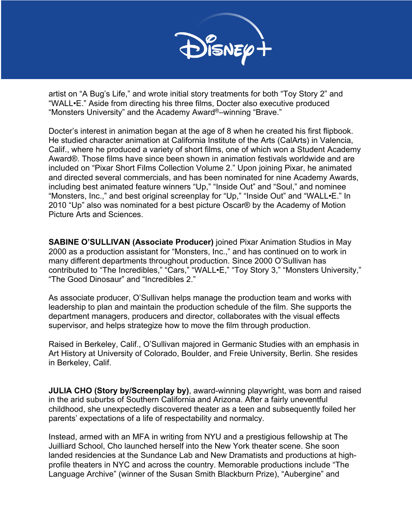

artist on "A Bug's Life," and wrote initial story treatments for both "Toy Story 2" and "WALL•E." Aside from directing his three films, Docter also executive produced "Monsters University" and the Academy Award®–winning "Brave."

Docter's interest in animation began at the age of 8 when he created his first flipbook. He studied character animation at California Institute of the Arts (CalArts) in Valencia, Calif., where he produced a variety of short films, one of which won a Student Academy Award®. Those films have since been shown in animation festivals worldwide and are included on "Pixar Short Films Collection Volume 2." Upon joining Pixar, he animated and directed several commercials, and has been nominated for nine Academy Awards, including best animated feature winners "Up," "Inside Out" and "Soul," and nominee "Monsters, Inc.," and best original screenplay for "Up," "Inside Out" and "WALL•E." In 2010 "Up" also was nominated for a best picture Oscar® by the Academy of Motion Picture Arts and Sciences.

**SABINE O'SULLIVAN (Associate Producer)** joined Pixar Animation Studios in May 2000 as a production assistant for "Monsters, Inc.," and has continued on to work in many different departments throughout production. Since 2000 O'Sullivan has contributed to "The Incredibles," "Cars," "WALL•E," "Toy Story 3," "Monsters University," "The Good Dinosaur" and "Incredibles 2."

As associate producer, O'Sullivan helps manage the production team and works with leadership to plan and maintain the production schedule of the film. She supports the department managers, producers and director, collaborates with the visual effects supervisor, and helps strategize how to move the film through production.

Raised in Berkeley, Calif., O'Sullivan majored in Germanic Studies with an emphasis in Art History at University of Colorado, Boulder, and Freie University, Berlin. She resides in Berkeley, Calif.

**JULIA CHO (Story by/Screenplay by)**, award-winning playwright, was born and raised in the arid suburbs of Southern California and Arizona. After a fairly uneventful childhood, she unexpectedly discovered theater as a teen and subsequently foiled her parents' expectations of a life of respectability and normalcy.

Instead, armed with an MFA in writing from NYU and a prestigious fellowship at The Juilliard School, Cho launched herself into the New York theater scene. She soon landed residencies at the Sundance Lab and New Dramatists and productions at highprofile theaters in NYC and across the country. Memorable productions include "The Language Archive" (winner of the Susan Smith Blackburn Prize), "Aubergine" and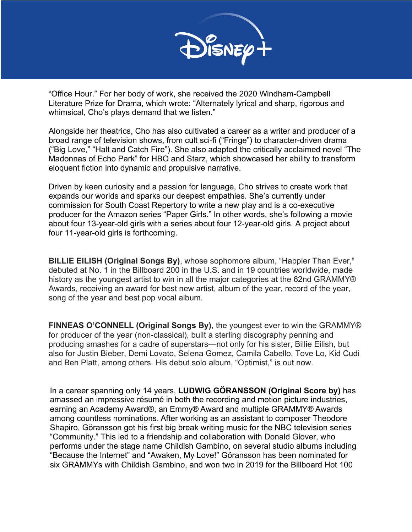

"Office Hour." For her body of work, she received the 2020 Windham-Campbell Literature Prize for Drama, which wrote: "Alternately lyrical and sharp, rigorous and whimsical, Cho's plays demand that we listen."

Alongside her theatrics, Cho has also cultivated a career as a writer and producer of a broad range of television shows, from cult sci-fi ("Fringe") to character-driven drama ("Big Love," "Halt and Catch Fire"). She also adapted the critically acclaimed novel "The Madonnas of Echo Park" for HBO and Starz, which showcased her ability to transform eloquent fiction into dynamic and propulsive narrative.

Driven by keen curiosity and a passion for language, Cho strives to create work that expands our worlds and sparks our deepest empathies. She's currently under commission for South Coast Repertory to write a new play and is a co-executive producer for the Amazon series "Paper Girls." In other words, she's following a movie about four 13-year-old girls with a series about four 12-year-old girls. A project about four 11-year-old girls is forthcoming.

**BILLIE EILISH (Original Songs By)**, whose sophomore album, "Happier Than Ever," debuted at No. 1 in the Billboard 200 in the U.S. and in 19 countries worldwide, made history as the youngest artist to win in all the major categories at the 62nd GRAMMY® Awards, receiving an award for best new artist, album of the year, record of the year, song of the year and best pop vocal album.

**FINNEAS O'CONNELL (Original Songs By)**, the youngest ever to win the GRAMMY® for producer of the year (non-classical), built a sterling discography penning and producing smashes for a cadre of superstars—not only for his sister, Billie Eilish, but also for Justin Bieber, Demi Lovato, Selena Gomez, Camila Cabello, Tove Lo, Kid Cudi and Ben Platt, among others. His debut solo album, "Optimist," is out now.

In a career spanning only 14 years, **LUDWIG GÖRANSSON (Original Score by)** has amassed an impressive résumé in both the recording and motion picture industries, earning an Academy Award®, an Emmy® Award and multiple GRAMMY® Awards among countless nominations. After working as an assistant to composer Theodore Shapiro, Göransson got his first big break writing music for the NBC television series "Community." This led to a friendship and collaboration with Donald Glover, who performs under the stage name Childish Gambino, on several studio albums including "Because the Internet" and "Awaken, My Love!" Göransson has been nominated for six GRAMMYs with Childish Gambino, and won two in 2019 for the Billboard Hot 100